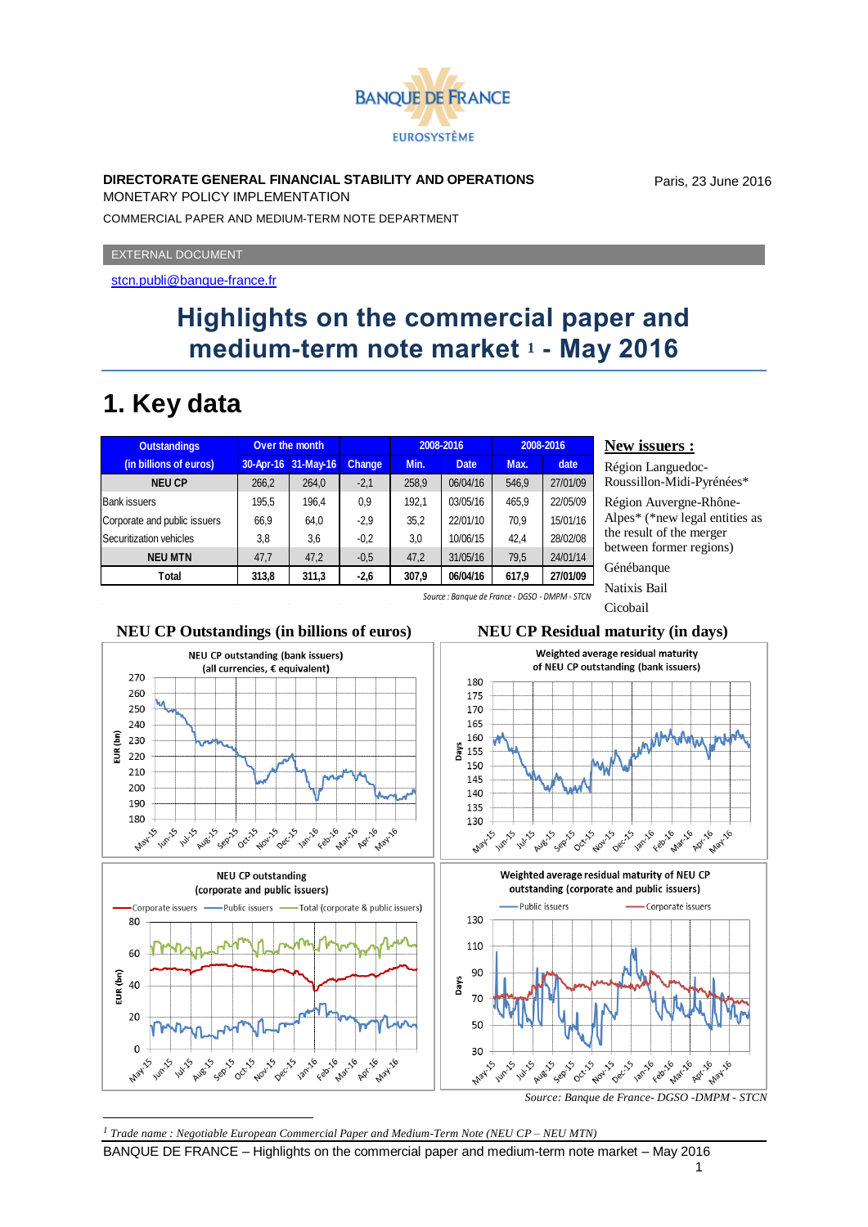

### **DIRECTORATE GENERAL FINANCIAL STABILITY AND OPERATIONS**

MONETARY POLICY IMPLEMENTATION

COMMERCIAL PAPER AND MEDIUM-TERM NOTE DEPARTMENT

EXTERNAL DOCUMENT

<stcn.publi@banque-france.fr>

# **Highlights on the commercial paper and medium-term note market <sup>1</sup> - May 2016**

# **1. Key data**

| <b>Outstandings</b>          | Over the month |           |        |       | 2008-2016   | 2008-2016 |          |
|------------------------------|----------------|-----------|--------|-------|-------------|-----------|----------|
| (in billions of euros)       | 30-Apr-16      | 31-May-16 | Change | Min.  | <b>Date</b> | Max.      | date     |
| <b>NEU CP</b>                | 266,2          | 264,0     | $-2,1$ | 258.9 | 06/04/16    | 546.9     | 27/01/09 |
| <b>Bank issuers</b>          | 195,5          | 196,4     | 0.9    | 192.1 | 03/05/16    | 465.9     | 22/05/09 |
| Corporate and public issuers | 66,9           | 64,0      | $-2.9$ | 35,2  | 22/01/10    | 70,9      | 15/01/16 |
| Securitization vehicles      | 3,8            | 3,6       | $-0.2$ | 3,0   | 10/06/15    | 42.4      | 28/02/08 |
| <b>NEU MTN</b>               | 47,7           | 47,2      | $-0.5$ | 47.2  | 31/05/16    | 79,5      | 24/01/14 |
| Total                        | 313,8          | 311,3     | $-2,6$ | 307.9 | 06/04/16    | 617,9     | 27/01/09 |

### **New issuers :**

Région Languedoc-Roussillon-Midi-Pyrénées\*

Paris, 23 June 2016

Région Auvergne-Rhône-Alpes\* (\*new legal entities as the result of the merger between former regions)

Génébanque

Natixis Bail

Cicobail *Source : Banque de France - DGSO - DMPM - STCN*



BANQUE DE FRANCE – Highlights on the commercial paper and medium-term note market – May 2016

## 1